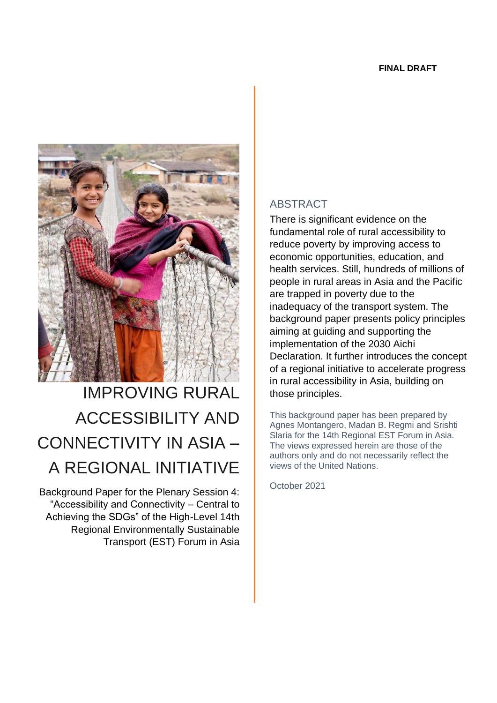

# IMPROVING RURAL ACCESSIBILITY AND CONNECTIVITY IN ASIA – A REGIONAL INITIATIVE

Background Paper for the Plenary Session 4: "Accessibility and Connectivity – Central to Achieving the SDGs" of the High-Level 14th Regional Environmentally Sustainable Transport (EST) Forum in Asia

#### ABSTRACT

There is significant evidence on the fundamental role of rural accessibility to reduce poverty by improving access to economic opportunities, education, and health services. Still, hundreds of millions of people in rural areas in Asia and the Pacific are trapped in poverty due to the inadequacy of the transport system. The background paper presents policy principles aiming at guiding and supporting the implementation of the 2030 Aichi Declaration. It further introduces the concept of a regional initiative to accelerate progress in rural accessibility in Asia, building on those principles.

This background paper has been prepared by Agnes Montangero, Madan B. Regmi and Srishti Slaria for the 14th Regional EST Forum in Asia. The views expressed herein are those of the authors only and do not necessarily reflect the views of the United Nations.

October 2021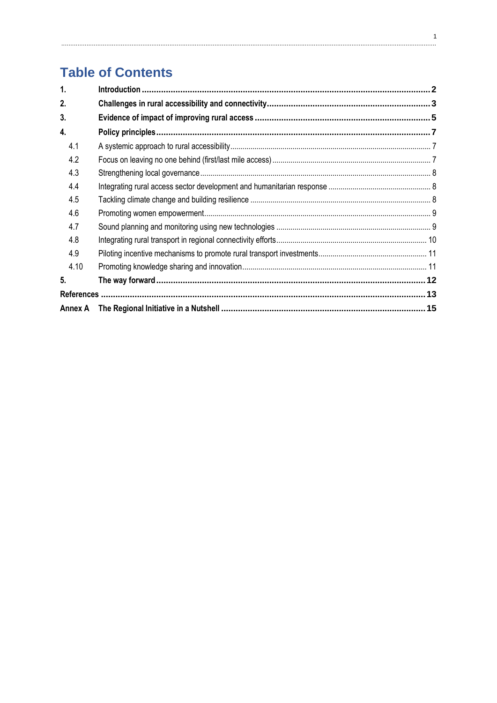# **Table of Contents**

| 1.      |  |
|---------|--|
| 2.      |  |
| 3.      |  |
| 4.      |  |
| 4.1     |  |
| 4.2     |  |
| 4.3     |  |
| 4.4     |  |
| 4.5     |  |
| 4.6     |  |
| 4.7     |  |
| 4.8     |  |
| 4.9     |  |
| 4.10    |  |
| 5.      |  |
|         |  |
| Annex A |  |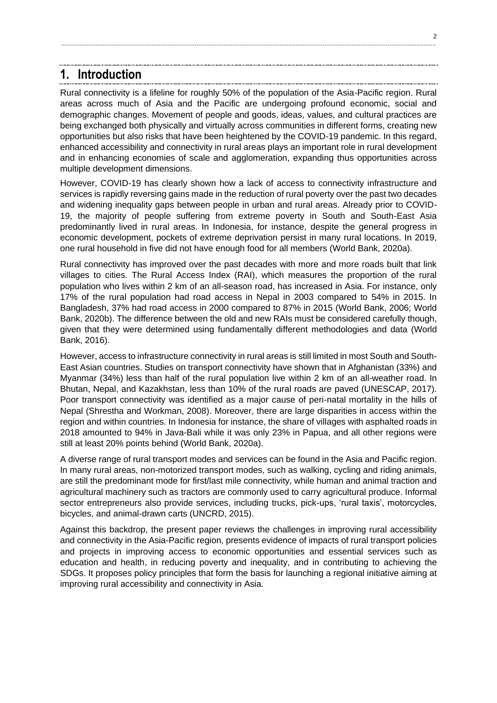## <span id="page-2-0"></span>**1. Introduction**

Rural connectivity is a lifeline for roughly 50% of the population of the Asia-Pacific region. Rural areas across much of Asia and the Pacific are undergoing profound economic, social and demographic changes. Movement of people and goods, ideas, values, and cultural practices are being exchanged both physically and virtually across communities in different forms, creating new opportunities but also risks that have been heightened by the COVID-19 pandemic. In this regard, enhanced accessibility and connectivity in rural areas plays an important role in rural development and in enhancing economies of scale and agglomeration, expanding thus opportunities across multiple development dimensions.

However, COVID-19 has clearly shown how a lack of access to connectivity infrastructure and services is rapidly reversing gains made in the reduction of rural poverty over the past two decades and widening inequality gaps between people in urban and rural areas. Already prior to COVID-19, the majority of people suffering from extreme poverty in South and South-East Asia predominantly lived in rural areas. In Indonesia, for instance, despite the general progress in economic development, pockets of extreme deprivation persist in many rural locations. In 2019, one rural household in five did not have enough food for all members (World Bank, 2020a).

Rural connectivity has improved over the past decades with more and more roads built that link villages to cities. The Rural Access Index (RAI), which measures the proportion of the rural population who lives within 2 km of an all-season road, has increased in Asia. For instance, only 17% of the rural population had road access in Nepal in 2003 compared to 54% in 2015. In Bangladesh, 37% had road access in 2000 compared to 87% in 2015 (World Bank, 2006; World Bank, 2020b). The difference between the old and new RAIs must be considered carefully though, given that they were determined using fundamentally different methodologies and data (World Bank, 2016).

However, access to infrastructure connectivity in rural areas is still limited in most South and South-East Asian countries. Studies on transport connectivity have shown that in Afghanistan (33%) and Myanmar (34%) less than half of the rural population live within 2 km of an all-weather road. In Bhutan, Nepal, and Kazakhstan, less than 10% of the rural roads are paved (UNESCAP, 2017). Poor transport connectivity was identified as a major cause of peri-natal mortality in the hills of Nepal (Shrestha and Workman, 2008). Moreover, there are large disparities in access within the region and within countries. In Indonesia for instance, the share of villages with asphalted roads in 2018 amounted to 94% in Java-Bali while it was only 23% in Papua, and all other regions were still at least 20% points behind (World Bank, 2020a).

A diverse range of rural transport modes and services can be found in the Asia and Pacific region. In many rural areas, non-motorized transport modes, such as walking, cycling and riding animals, are still the predominant mode for first/last mile connectivity, while human and animal traction and agricultural machinery such as tractors are commonly used to carry agricultural produce. Informal sector entrepreneurs also provide services, including trucks, pick-ups, 'rural taxis', motorcycles, bicycles, and animal-drawn carts (UNCRD, 2015).

Against this backdrop, the present paper reviews the challenges in improving rural accessibility and connectivity in the Asia-Pacific region, presents evidence of impacts of rural transport policies and projects in improving access to economic opportunities and essential services such as education and health, in reducing poverty and inequality, and in contributing to achieving the SDGs. It proposes policy principles that form the basis for launching a regional initiative aiming at improving rural accessibility and connectivity in Asia.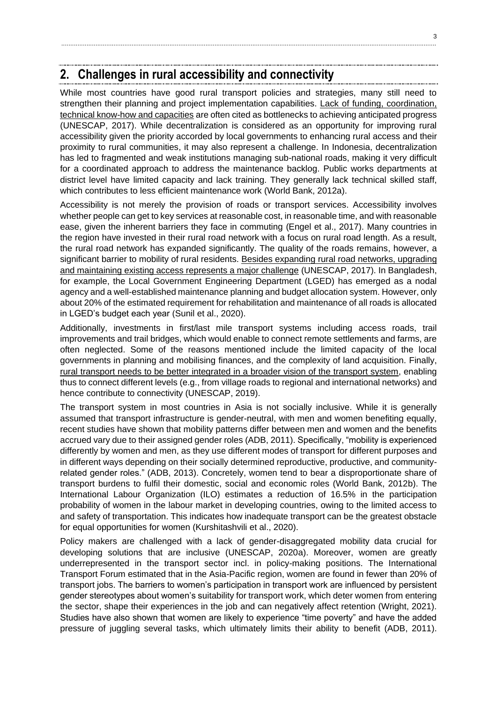### <span id="page-3-0"></span>**2. Challenges in rural accessibility and connectivity**

While most countries have good rural transport policies and strategies, many still need to strengthen their planning and project implementation capabilities. Lack of funding, coordination, technical know-how and capacities are often cited as bottlenecks to achieving anticipated progress (UNESCAP, 2017). While decentralization is considered as an opportunity for improving rural accessibility given the priority accorded by local governments to enhancing rural access and their proximity to rural communities, it may also represent a challenge. In Indonesia, decentralization has led to fragmented and weak institutions managing sub-national roads, making it very difficult for a coordinated approach to address the maintenance backlog. Public works departments at district level have limited capacity and lack training. They generally lack technical skilled staff, which contributes to less efficient maintenance work (World Bank, 2012a).

Accessibility is not merely the provision of roads or transport services. Accessibility involves whether people can get to key services at reasonable cost, in reasonable time, and with reasonable ease, given the inherent barriers they face in commuting (Engel et al., 2017). Many countries in the region have invested in their rural road network with a focus on rural road length. As a result, the rural road network has expanded significantly. The quality of the roads remains, however, a significant barrier to mobility of rural residents. Besides expanding rural road networks, upgrading and maintaining existing access represents a major challenge (UNESCAP, 2017). In Bangladesh, for example, the Local Government Engineering Department (LGED) has emerged as a nodal agency and a well-established maintenance planning and budget allocation system. However, only about 20% of the estimated requirement for rehabilitation and maintenance of all roads is allocated in LGED's budget each year (Sunil et al., 2020).

Additionally, investments in first/last mile transport systems including access roads, trail improvements and trail bridges, which would enable to connect remote settlements and farms, are often neglected. Some of the reasons mentioned include the limited capacity of the local governments in planning and mobilising finances, and the complexity of land acquisition. Finally, rural transport needs to be better integrated in a broader vision of the transport system, enabling thus to connect different levels (e.g., from village roads to regional and international networks) and hence contribute to connectivity (UNESCAP, 2019).

The transport system in most countries in Asia is not socially inclusive. While it is generally assumed that transport infrastructure is gender-neutral, with men and women benefiting equally, recent studies have shown that mobility patterns differ between men and women and the benefits accrued vary due to their assigned gender roles (ADB, 2011). Specifically, "mobility is experienced differently by women and men, as they use different modes of transport for different purposes and in different ways depending on their socially determined reproductive, productive, and communityrelated gender roles." (ADB, 2013). Concretely, women tend to bear a disproportionate share of transport burdens to fulfil their domestic, social and economic roles (World Bank, 2012b). The International Labour Organization (ILO) estimates a reduction of 16.5% in the participation probability of women in the labour market in developing countries, owing to the limited access to and safety of transportation. This indicates how inadequate transport can be the greatest obstacle for equal opportunities for women (Kurshitashvili et al., 2020).

Policy makers are challenged with a lack of gender-disaggregated mobility data crucial for developing solutions that are inclusive (UNESCAP, 2020a). Moreover, women are greatly underrepresented in the transport sector incl. in policy-making positions. The International Transport Forum estimated that in the Asia-Pacific region, women are found in fewer than 20% of transport jobs. The barriers to women's participation in transport work are influenced by persistent gender stereotypes about women's suitability for transport work, which deter women from entering the sector, shape their experiences in the job and can negatively affect retention (Wright, 2021). Studies have also shown that women are likely to experience "time poverty" and have the added pressure of juggling several tasks, which ultimately limits their ability to benefit (ADB, 2011).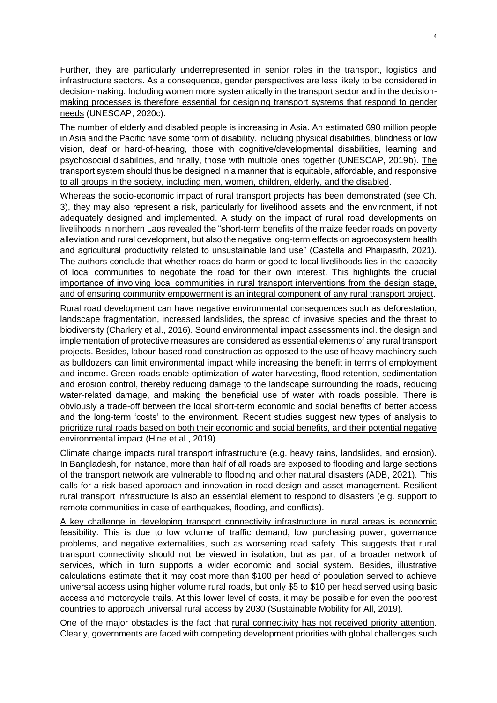Further, they are particularly underrepresented in senior roles in the transport, logistics and infrastructure sectors. As a consequence, gender perspectives are less likely to be considered in decision-making. Including women more systematically in the transport sector and in the decisionmaking processes is therefore essential for designing transport systems that respond to gender needs (UNESCAP, 2020c).

The number of elderly and disabled people is increasing in Asia. An estimated 690 million people in Asia and the Pacific have some form of disability, including physical disabilities, blindness or low vision, deaf or hard-of-hearing, those with cognitive/developmental disabilities, learning and psychosocial disabilities, and finally, those with multiple ones together (UNESCAP, 2019b). The transport system should thus be designed in a manner that is equitable, affordable, and responsive to all groups in the society, including men, women, children, elderly, and the disabled.

Whereas the socio-economic impact of rural transport projects has been demonstrated (see Ch. 3), they may also represent a risk, particularly for livelihood assets and the environment, if not adequately designed and implemented. A study on the impact of rural road developments on livelihoods in northern Laos revealed the "short-term benefits of the maize feeder roads on poverty alleviation and rural development, but also the negative long-term effects on agroecosystem health and agricultural productivity related to unsustainable land use" (Castella and Phaipasith, 2021). The authors conclude that whether roads do harm or good to local livelihoods lies in the capacity of local communities to negotiate the road for their own interest. This highlights the crucial importance of involving local communities in rural transport interventions from the design stage, and of ensuring community empowerment is an integral component of any rural transport project.

Rural road development can have negative environmental consequences such as deforestation, landscape fragmentation, increased landslides, the spread of invasive species and the threat to biodiversity (Charlery et al., 2016). Sound environmental impact assessments incl. the design and implementation of protective measures are considered as essential elements of any rural transport projects. Besides, labour-based road construction as opposed to the use of heavy machinery such as bulldozers can limit environmental impact while increasing the benefit in terms of employment and income. Green roads enable optimization of water harvesting, flood retention, sedimentation and erosion control, thereby reducing damage to the landscape surrounding the roads, reducing water-related damage, and making the beneficial use of water with roads possible. There is obviously a trade-off between the local short-term economic and social benefits of better access and the long-term 'costs' to the environment. Recent studies suggest new types of analysis to prioritize rural roads based on both their economic and social benefits, and their potential negative environmental impact (Hine et al., 2019).

Climate change impacts rural transport infrastructure (e.g. heavy rains, landslides, and erosion). In Bangladesh, for instance, more than half of all roads are exposed to flooding and large sections of the transport network are vulnerable to flooding and other natural disasters (ADB, 2021). This calls for a risk-based approach and innovation in road design and asset management. Resilient rural transport infrastructure is also an essential element to respond to disasters (e.g. support to remote communities in case of earthquakes, flooding, and conflicts).

A key challenge in developing transport connectivity infrastructure in rural areas is economic feasibility. This is due to low volume of traffic demand, low purchasing power, governance problems, and negative externalities, such as worsening road safety. This suggests that rural transport connectivity should not be viewed in isolation, but as part of a broader network of services, which in turn supports a wider economic and social system. Besides, illustrative calculations estimate that it may cost more than \$100 per head of population served to achieve universal access using higher volume rural roads, but only \$5 to \$10 per head served using basic access and motorcycle trails. At this lower level of costs, it may be possible for even the poorest countries to approach universal rural access by 2030 (Sustainable Mobility for All, 2019).

One of the major obstacles is the fact that rural connectivity has not received priority attention. Clearly, governments are faced with competing development priorities with global challenges such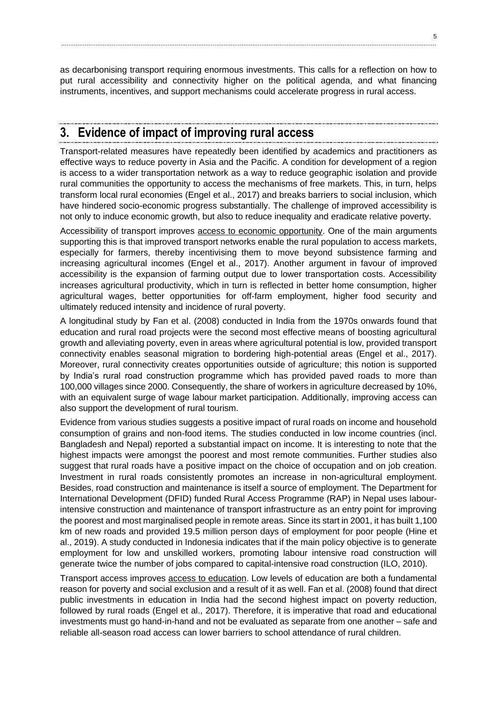as decarbonising transport requiring enormous investments. This calls for a reflection on how to put rural accessibility and connectivity higher on the political agenda, and what financing instruments, incentives, and support mechanisms could accelerate progress in rural access.

# <span id="page-5-0"></span>**3. Evidence of impact of improving rural access**

Transport-related measures have repeatedly been identified by academics and practitioners as effective ways to reduce poverty in Asia and the Pacific. A condition for development of a region is access to a wider transportation network as a way to reduce geographic isolation and provide rural communities the opportunity to access the mechanisms of free markets. This, in turn, helps transform local rural economies (Engel et al., 2017) and breaks barriers to social inclusion, which have hindered socio-economic progress substantially. The challenge of improved accessibility is not only to induce economic growth, but also to reduce inequality and eradicate relative poverty.

Accessibility of transport improves access to economic opportunity. One of the main arguments supporting this is that improved transport networks enable the rural population to access markets, especially for farmers, thereby incentivising them to move beyond subsistence farming and increasing agricultural incomes (Engel et al., 2017). Another argument in favour of improved accessibility is the expansion of farming output due to lower transportation costs. Accessibility increases agricultural productivity, which in turn is reflected in better home consumption, higher agricultural wages, better opportunities for off-farm employment, higher food security and ultimately reduced intensity and incidence of rural poverty.

A longitudinal study by Fan et al. (2008) conducted in India from the 1970s onwards found that education and rural road projects were the second most effective means of boosting agricultural growth and alleviating poverty, even in areas where agricultural potential is low, provided transport connectivity enables seasonal migration to bordering high-potential areas (Engel et al., 2017). Moreover, rural connectivity creates opportunities outside of agriculture; this notion is supported by India's rural road construction programme which has provided paved roads to more than 100,000 villages since 2000. Consequently, the share of workers in agriculture decreased by 10%, with an equivalent surge of wage labour market participation. Additionally, improving access can also support the development of rural tourism.

Evidence from various studies suggests a positive impact of rural roads on income and household consumption of grains and non-food items. The studies conducted in low income countries (incl. Bangladesh and Nepal) reported a substantial impact on income. It is interesting to note that the highest impacts were amongst the poorest and most remote communities. Further studies also suggest that rural roads have a positive impact on the choice of occupation and on job creation. Investment in rural roads consistently promotes an increase in non-agricultural employment. Besides, road construction and maintenance is itself a source of employment. The Department for International Development (DFID) funded Rural Access Programme (RAP) in Nepal uses labourintensive construction and maintenance of transport infrastructure as an entry point for improving the poorest and most marginalised people in remote areas. Since its start in 2001, it has built 1,100 km of new roads and provided 19.5 million person days of employment for poor people (Hine et al., 2019). A study conducted in Indonesia indicates that if the main policy objective is to generate employment for low and unskilled workers, promoting labour intensive road construction will generate twice the number of jobs compared to capital-intensive road construction (ILO, 2010).

Transport access improves access to education. Low levels of education are both a fundamental reason for poverty and social exclusion and a result of it as well. Fan et al. (2008) found that direct public investments in education in India had the second highest impact on poverty reduction, followed by rural roads (Engel et al., 2017). Therefore, it is imperative that road and educational investments must go hand-in-hand and not be evaluated as separate from one another – safe and reliable all-season road access can lower barriers to school attendance of rural children.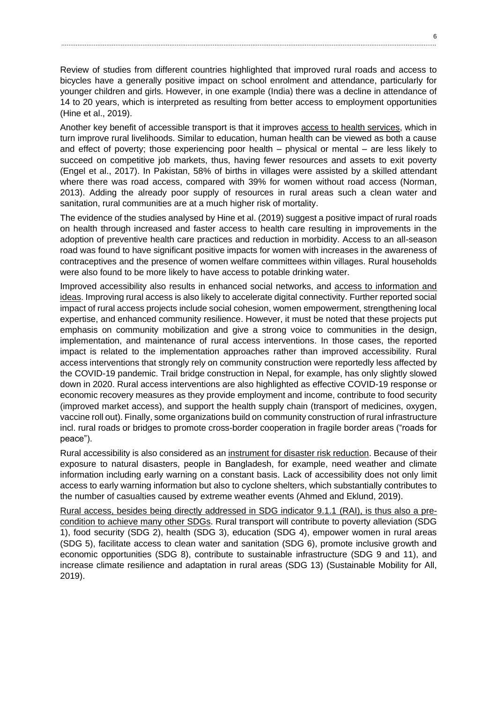Review of studies from different countries highlighted that improved rural roads and access to bicycles have a generally positive impact on school enrolment and attendance, particularly for younger children and girls. However, in one example (India) there was a decline in attendance of 14 to 20 years, which is interpreted as resulting from better access to employment opportunities (Hine et al., 2019).

Another key benefit of accessible transport is that it improves access to health services, which in turn improve rural livelihoods. Similar to education, human health can be viewed as both a cause and effect of poverty; those experiencing poor health – physical or mental – are less likely to succeed on competitive job markets, thus, having fewer resources and assets to exit poverty (Engel et al., 2017). In Pakistan, 58% of births in villages were assisted by a skilled attendant where there was road access, compared with 39% for women without road access (Norman, 2013). Adding the already poor supply of resources in rural areas such a clean water and sanitation, rural communities are at a much higher risk of mortality.

The evidence of the studies analysed by Hine et al. (2019) suggest a positive impact of rural roads on health through increased and faster access to health care resulting in improvements in the adoption of preventive health care practices and reduction in morbidity. Access to an all-season road was found to have significant positive impacts for women with increases in the awareness of contraceptives and the presence of women welfare committees within villages. Rural households were also found to be more likely to have access to potable drinking water.

Improved accessibility also results in enhanced social networks, and access to information and ideas. Improving rural access is also likely to accelerate digital connectivity. Further reported social impact of rural access projects include social cohesion, women empowerment, strengthening local expertise, and enhanced community resilience. However, it must be noted that these projects put emphasis on community mobilization and give a strong voice to communities in the design, implementation, and maintenance of rural access interventions. In those cases, the reported impact is related to the implementation approaches rather than improved accessibility. Rural access interventions that strongly rely on community construction were reportedly less affected by the COVID-19 pandemic. Trail bridge construction in Nepal, for example, has only slightly slowed down in 2020. Rural access interventions are also highlighted as effective COVID-19 response or economic recovery measures as they provide employment and income, contribute to food security (improved market access), and support the health supply chain (transport of medicines, oxygen, vaccine roll out). Finally, some organizations build on community construction of rural infrastructure incl. rural roads or bridges to promote cross-border cooperation in fragile border areas ("roads for peace").

Rural accessibility is also considered as an instrument for disaster risk reduction. Because of their exposure to natural disasters, people in Bangladesh, for example, need weather and climate information including early warning on a constant basis. Lack of accessibility does not only limit access to early warning information but also to cyclone shelters, which substantially contributes to the number of casualties caused by extreme weather events (Ahmed and Eklund, 2019).

Rural access, besides being directly addressed in SDG indicator 9.1.1 (RAI), is thus also a precondition to achieve many other SDGs. Rural transport will contribute to poverty alleviation (SDG 1), food security (SDG 2), health (SDG 3), education (SDG 4), empower women in rural areas (SDG 5), facilitate access to clean water and sanitation (SDG 6), promote inclusive growth and economic opportunities (SDG 8), contribute to sustainable infrastructure (SDG 9 and 11), and increase climate resilience and adaptation in rural areas (SDG 13) (Sustainable Mobility for All, 2019).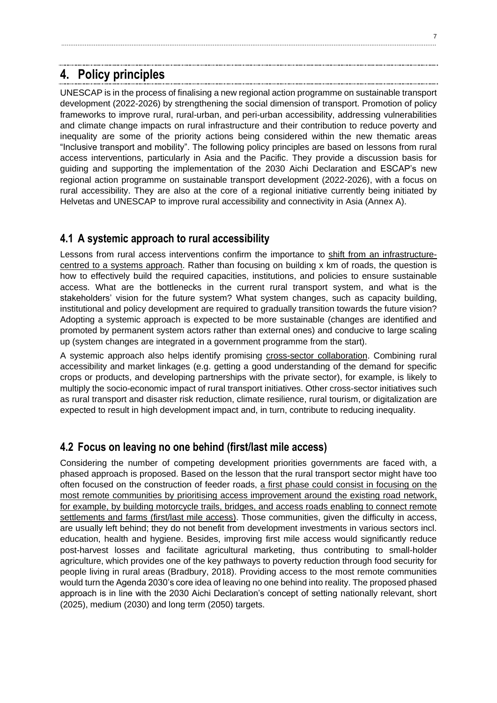# <span id="page-7-0"></span>**4. Policy principles**

UNESCAP is in the process of finalising a new regional action programme on sustainable transport development (2022-2026) by strengthening the social dimension of transport. Promotion of policy frameworks to improve rural, rural-urban, and peri-urban accessibility, addressing vulnerabilities and climate change impacts on rural infrastructure and their contribution to reduce poverty and inequality are some of the priority actions being considered within the new thematic areas "Inclusive transport and mobility". The following policy principles are based on lessons from rural access interventions, particularly in Asia and the Pacific. They provide a discussion basis for guiding and supporting the implementation of the 2030 Aichi Declaration and ESCAP's new regional action programme on sustainable transport development (2022-2026), with a focus on rural accessibility. They are also at the core of a regional initiative currently being initiated by Helvetas and UNESCAP to improve rural accessibility and connectivity in Asia (Annex A).

................................................................................................................................................................................................................

#### <span id="page-7-1"></span>**4.1 A systemic approach to rural accessibility**

Lessons from rural access interventions confirm the importance to shift from an infrastructurecentred to a systems approach. Rather than focusing on building x km of roads, the question is how to effectively build the required capacities, institutions, and policies to ensure sustainable access. What are the bottlenecks in the current rural transport system, and what is the stakeholders' vision for the future system? What system changes, such as capacity building, institutional and policy development are required to gradually transition towards the future vision? Adopting a systemic approach is expected to be more sustainable (changes are identified and promoted by permanent system actors rather than external ones) and conducive to large scaling up (system changes are integrated in a government programme from the start).

A systemic approach also helps identify promising cross-sector collaboration. Combining rural accessibility and market linkages (e.g. getting a good understanding of the demand for specific crops or products, and developing partnerships with the private sector), for example, is likely to multiply the socio-economic impact of rural transport initiatives. Other cross-sector initiatives such as rural transport and disaster risk reduction, climate resilience, rural tourism, or digitalization are expected to result in high development impact and, in turn, contribute to reducing inequality.

#### <span id="page-7-2"></span>**4.2 Focus on leaving no one behind (first/last mile access)**

Considering the number of competing development priorities governments are faced with, a phased approach is proposed. Based on the lesson that the rural transport sector might have too often focused on the construction of feeder roads, a first phase could consist in focusing on the most remote communities by prioritising access improvement around the existing road network, for example, by building motorcycle trails, bridges, and access roads enabling to connect remote settlements and farms (first/last mile access). Those communities, given the difficulty in access, are usually left behind; they do not benefit from development investments in various sectors incl. education, health and hygiene. Besides, improving first mile access would significantly reduce post-harvest losses and facilitate agricultural marketing, thus contributing to small-holder agriculture, which provides one of the key pathways to poverty reduction through food security for people living in rural areas (Bradbury, 2018). Providing access to the most remote communities would turn the Agenda 2030's core idea of leaving no one behind into reality. The proposed phased approach is in line with the 2030 Aichi Declaration's concept of setting nationally relevant, short (2025), medium (2030) and long term (2050) targets.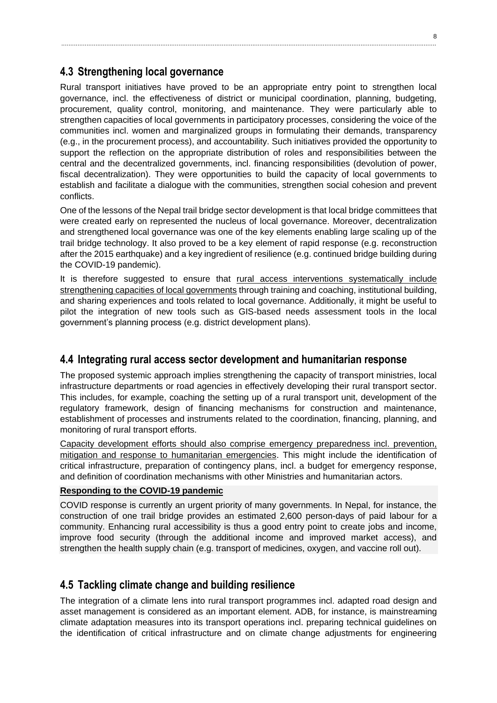#### <span id="page-8-0"></span>**4.3 Strengthening local governance**

Rural transport initiatives have proved to be an appropriate entry point to strengthen local governance, incl. the effectiveness of district or municipal coordination, planning, budgeting, procurement, quality control, monitoring, and maintenance. They were particularly able to strengthen capacities of local governments in participatory processes, considering the voice of the communities incl. women and marginalized groups in formulating their demands, transparency (e.g., in the procurement process), and accountability. Such initiatives provided the opportunity to support the reflection on the appropriate distribution of roles and responsibilities between the central and the decentralized governments, incl. financing responsibilities (devolution of power, fiscal decentralization). They were opportunities to build the capacity of local governments to establish and facilitate a dialogue with the communities, strengthen social cohesion and prevent conflicts.

One of the lessons of the Nepal trail bridge sector development is that local bridge committees that were created early on represented the nucleus of local governance. Moreover, decentralization and strengthened local governance was one of the key elements enabling large scaling up of the trail bridge technology. It also proved to be a key element of rapid response (e.g. reconstruction after the 2015 earthquake) and a key ingredient of resilience (e.g. continued bridge building during the COVID-19 pandemic).

It is therefore suggested to ensure that rural access interventions systematically include strengthening capacities of local governments through training and coaching, institutional building, and sharing experiences and tools related to local governance. Additionally, it might be useful to pilot the integration of new tools such as GIS-based needs assessment tools in the local government's planning process (e.g. district development plans).

#### <span id="page-8-1"></span>**4.4 Integrating rural access sector development and humanitarian response**

The proposed systemic approach implies strengthening the capacity of transport ministries, local infrastructure departments or road agencies in effectively developing their rural transport sector. This includes, for example, coaching the setting up of a rural transport unit, development of the regulatory framework, design of financing mechanisms for construction and maintenance, establishment of processes and instruments related to the coordination, financing, planning, and monitoring of rural transport efforts.

Capacity development efforts should also comprise emergency preparedness incl. prevention, mitigation and response to humanitarian emergencies. This might include the identification of critical infrastructure, preparation of contingency plans, incl. a budget for emergency response, and definition of coordination mechanisms with other Ministries and humanitarian actors.

#### **Responding to the COVID-19 pandemic**

COVID response is currently an urgent priority of many governments. In Nepal, for instance, the construction of one trail bridge provides an estimated 2,600 person-days of paid labour for a community. Enhancing rural accessibility is thus a good entry point to create jobs and income, improve food security (through the additional income and improved market access), and strengthen the health supply chain (e.g. transport of medicines, oxygen, and vaccine roll out).

#### <span id="page-8-2"></span>**4.5 Tackling climate change and building resilience**

The integration of a climate lens into rural transport programmes incl. adapted road design and asset management is considered as an important element. ADB, for instance, is mainstreaming climate adaptation measures into its transport operations incl. preparing technical guidelines on the identification of critical infrastructure and on climate change adjustments for engineering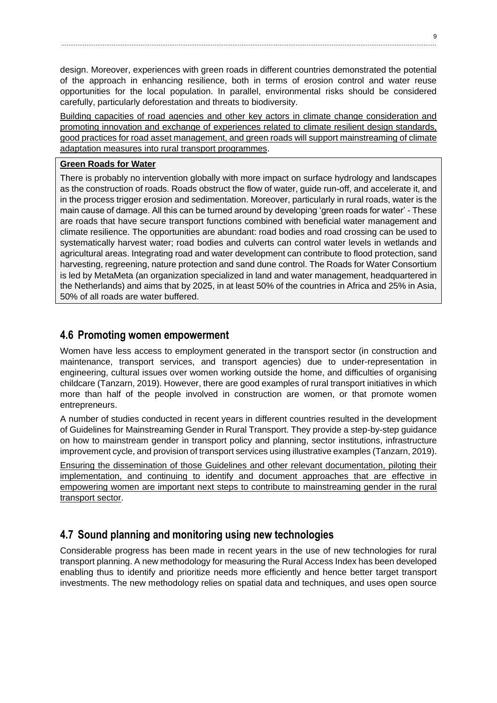design. Moreover, experiences with green roads in different countries demonstrated the potential of the approach in enhancing resilience, both in terms of erosion control and water reuse opportunities for the local population. In parallel, environmental risks should be considered carefully, particularly deforestation and threats to biodiversity.

Building capacities of road agencies and other key actors in climate change consideration and promoting innovation and exchange of experiences related to climate resilient design standards, good practices for road asset management, and green roads will support mainstreaming of climate adaptation measures into rural transport programmes.

#### **[Green Roads for Water](https://roadsforwater.org/about-us/)**

There is probably no intervention globally with more impact on surface hydrology and landscapes as the construction of roads. Roads obstruct the flow of water, guide run-off, and accelerate it, and in the process trigger erosion and sedimentation. Moreover, particularly in rural roads, water is the main cause of damage. All this can be turned around by developing 'green roads for water' - These are roads that have secure transport functions combined with beneficial water management and climate resilience. The opportunities are abundant: road bodies and road crossing can be used to systematically harvest water; road bodies and culverts can control water levels in wetlands and agricultural areas. Integrating road and water development can contribute to flood protection, sand harvesting, regreening, nature protection and sand dune control. The Roads for Water Consortium is led by MetaMeta (an organization specialized in land and water management, headquartered in the Netherlands) and aims that by 2025, in at least 50% of the countries in Africa and 25% in Asia, 50% of all roads are water buffered.

#### <span id="page-9-0"></span>**4.6 Promoting women empowerment**

Women have less access to employment generated in the transport sector (in construction and maintenance, transport services, and transport agencies) due to under-representation in engineering, cultural issues over women working outside the home, and difficulties of organising childcare (Tanzarn, 2019). However, there are good examples of rural transport initiatives in which more than half of the people involved in construction are women, or that promote women entrepreneurs.

A number of studies conducted in recent years in different countries resulted in the development of Guidelines for Mainstreaming Gender in Rural Transport. They provide a step-by-step guidance on how to mainstream gender in transport policy and planning, sector institutions, infrastructure improvement cycle, and provision of transport services using illustrative examples (Tanzarn, 2019).

Ensuring the dissemination of those Guidelines and other relevant documentation, piloting their implementation, and continuing to identify and document approaches that are effective in empowering women are important next steps to contribute to mainstreaming gender in the rural transport sector.

#### <span id="page-9-1"></span>**4.7 Sound planning and monitoring using new technologies**

Considerable progress has been made in recent years in the use of new technologies for rural transport planning. A new methodology for measuring the Rural Access Index has been developed enabling thus to identify and prioritize needs more efficiently and hence better target transport investments. The new methodology relies on spatial data and techniques, and uses open source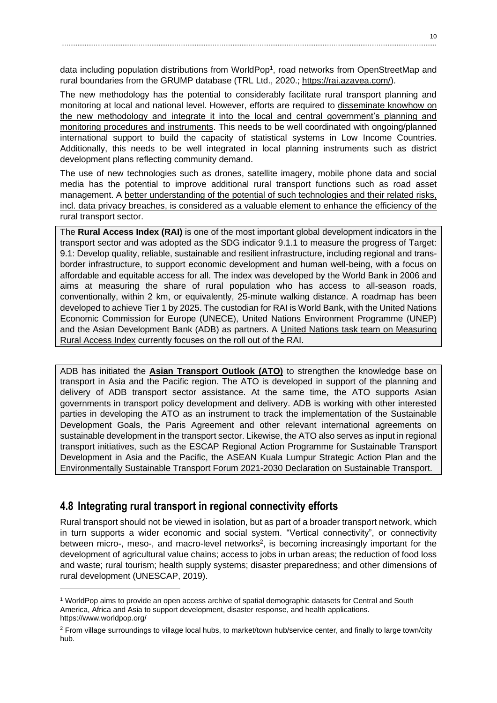data including population distributions from WorldPop<sup>1</sup>, road networks from OpenStreetMap and rural boundaries from the GRUMP database (TRL Ltd., 2020.; [https://rai.azavea.com/\)](https://rai.azavea.com/).

The new methodology has the potential to considerably facilitate rural transport planning and monitoring at local and national level. However, efforts are required to disseminate knowhow on the new methodology and integrate it into the local and central government's planning and monitoring procedures and instruments. This needs to be well coordinated with ongoing/planned international support to build the capacity of statistical systems in Low Income Countries. Additionally, this needs to be well integrated in local planning instruments such as district development plans reflecting community demand.

The use of new technologies such as drones, satellite imagery, mobile phone data and social media has the potential to improve additional rural transport functions such as road asset management. A better understanding of the potential of such technologies and their related risks, incl. data privacy breaches, is considered as a valuable element to enhance the efficiency of the rural transport sector.

The **Rural Access Index (RAI)** is one of the most important global development indicators in the transport sector and was adopted as the SDG indicator 9.1.1 to measure the progress of Target: 9.1: Develop quality, reliable, sustainable and resilient infrastructure, including regional and transborder infrastructure, to support economic development and human well-being, with a focus on affordable and equitable access for all. The index was developed by the World Bank in 2006 and aims at measuring the share of rural population who has access to all-season roads, conventionally, within 2 km, or equivalently, 25-minute walking distance. A roadmap has been developed to achieve Tier 1 by 2025. The custodian for RAI is World Bank, with the United Nations Economic Commission for Europe (UNECE), United Nations Environment Programme (UNEP) and the Asian Development Bank (ADB) as partners. A United Nations [task team on Measuring](https://unstats.un.org/bigdata/task-teams/rural-access/index.cshtml)  [Rural Access Index](https://unstats.un.org/bigdata/task-teams/rural-access/index.cshtml) currently focuses on the roll out of the RAI.

ADB has initiated the **[Asian Transport Outlook \(ATO\)](https://www.adb.org/what-we-do/sectors/transport/overview#asian-transport-outlook)** to strengthen the knowledge base on transport in Asia and the Pacific region. The ATO is developed in support of the planning and delivery of ADB transport sector assistance. At the same time, the ATO supports Asian governments in transport policy development and delivery. ADB is working with other interested parties in developing the ATO as an instrument to track the implementation of the Sustainable Development Goals, the Paris Agreement and other relevant international agreements on sustainable development in the transport sector. Likewise, the ATO also serves as input in regional transport initiatives, such as the ESCAP Regional Action Programme for Sustainable Transport Development in Asia and the Pacific, the ASEAN Kuala Lumpur Strategic Action Plan and the Environmentally Sustainable Transport Forum 2021-2030 Declaration on Sustainable Transport.

#### <span id="page-10-0"></span>**4.8 Integrating rural transport in regional connectivity efforts**

Rural transport should not be viewed in isolation, but as part of a broader transport network, which in turn supports a wider economic and social system. "Vertical connectivity", or connectivity between micro-, meso-, and macro-level networks<sup>2</sup>, is becoming increasingly important for the development of agricultural value chains; access to jobs in urban areas; the reduction of food loss and waste; rural tourism; health supply systems; disaster preparedness; and other dimensions of rural development (UNESCAP, 2019).

<sup>1</sup> WorldPop aims to provide an open access archive of spatial demographic datasets for Central and South America, Africa and Asia to support development, disaster response, and health applications. https://www.worldpop.org/

<sup>2</sup> From village surroundings to village local hubs, to market/town hub/service center, and finally to large town/city hub.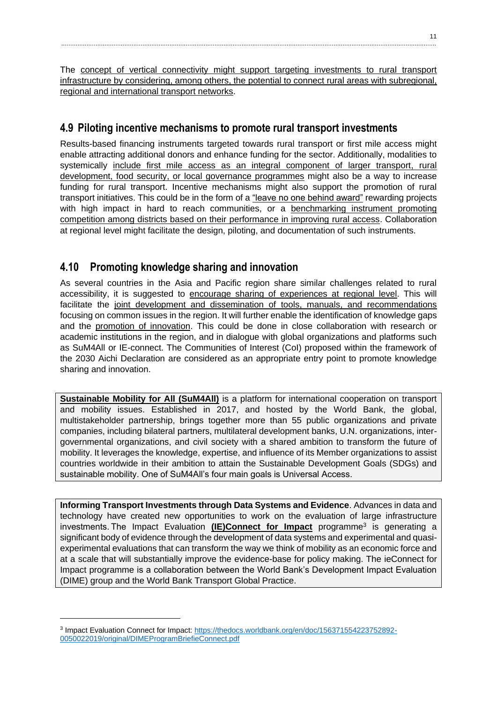The concept of vertical connectivity might support targeting investments to rural transport infrastructure by considering, among others, the potential to connect rural areas with subregional, regional and international transport networks.

#### <span id="page-11-0"></span>**4.9 Piloting incentive mechanisms to promote rural transport investments**

Results-based financing instruments targeted towards rural transport or first mile access might enable attracting additional donors and enhance funding for the sector. Additionally, modalities to systemically include first mile access as an integral component of larger transport, rural development, food security, or local governance programmes might also be a way to increase funding for rural transport. Incentive mechanisms might also support the promotion of rural transport initiatives. This could be in the form of a "leave no one behind award" rewarding projects with high impact in hard to reach communities, or a benchmarking instrument promoting competition among districts based on their performance in improving rural access. Collaboration at regional level might facilitate the design, piloting, and documentation of such instruments.

#### <span id="page-11-1"></span>**4.10 Promoting knowledge sharing and innovation**

As several countries in the Asia and Pacific region share similar challenges related to rural accessibility, it is suggested to encourage sharing of experiences at regional level. This will facilitate the joint development and dissemination of tools, manuals, and recommendations focusing on common issues in the region. It will further enable the identification of knowledge gaps and the promotion of innovation. This could be done in close collaboration with research or academic institutions in the region, and in dialogue with global organizations and platforms such as SuM4All or IE-connect. The Communities of Interest (CoI) proposed within the framework of the 2030 Aichi Declaration are considered as an appropriate entry point to promote knowledge sharing and innovation.

**[Sustainable Mobility for All \(SuM4All\)](https://www.sum4all.org/)** is a platform for international cooperation on transport and mobility issues. Established in 2017, and hosted by the World Bank, the global, multistakeholder partnership, brings together more than 55 public organizations and private companies, including bilateral partners, multilateral development banks, U.N. organizations, intergovernmental organizations, and civil society with a shared ambition to transform the future of mobility. It leverages the knowledge, expertise, and influence of its Member organizations to assist countries worldwide in their ambition to attain the Sustainable Development Goals (SDGs) and sustainable mobility. One of SuM4All's four main goals is Universal Access.

**Informing Transport Investments through Data Systems and Evidence**. Advances in data and technology have created new opportunities to work on the evaluation of large infrastructure investments. The Impact Evaluation **(IE)Connect [for Impact](https://pubdocs.worldbank.org/en/156371554223752892/DIME-ProgramBrief-ieConnect.pdf)** programme<sup>3</sup> is generating a significant body of evidence through the development of data systems and experimental and quasiexperimental evaluations that can transform the way we think of mobility as an economic force and at a scale that will substantially improve the evidence-base for policy making. The ieConnect for Impact programme is a collaboration between the World Bank's Development Impact Evaluation (DIME) group and the World Bank Transport Global Practice.

<sup>&</sup>lt;sup>3</sup> Impact Evaluation Connect for Impact: [https://thedocs.worldbank.org/en/doc/156371554223752892-](https://thedocs.worldbank.org/en/doc/156371554223752892-0050022019/original/DIMEProgramBriefieConnect.pdf) [0050022019/original/DIMEProgramBriefieConnect.pdf](https://thedocs.worldbank.org/en/doc/156371554223752892-0050022019/original/DIMEProgramBriefieConnect.pdf)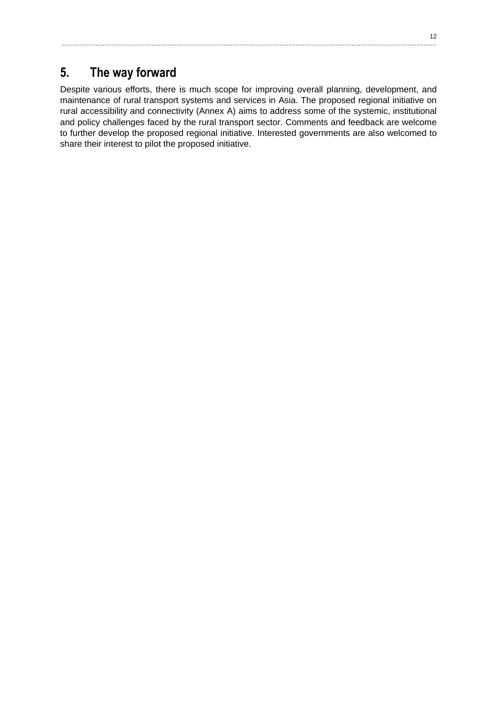# <span id="page-12-0"></span>**5. The way forward**

Despite various efforts, there is much scope for improving overall planning, development, and maintenance of rural transport systems and services in Asia. The proposed regional initiative on rural accessibility and connectivity (Annex A) aims to address some of the systemic, institutional and policy challenges faced by the rural transport sector. Comments and feedback are welcome to further develop the proposed regional initiative. Interested governments are also welcomed to share their interest to pilot the proposed initiative.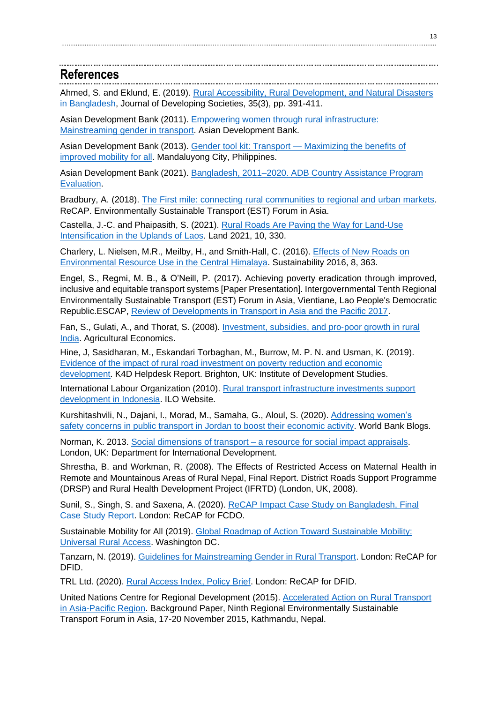#### <span id="page-13-0"></span>**References**

Ahmed, S. and Eklund, E. (2019). [Rural Accessibility, Rural Development, and Natural Disasters](https://www.researchgate.net/publication/336178015_Rural_Accessibility_Rural_Development_and_Natural_Disasters_in_Bangladesh)  [in Bangladesh,](https://www.researchgate.net/publication/336178015_Rural_Accessibility_Rural_Development_and_Natural_Disasters_in_Bangladesh) Journal of Developing Societies, 35(3), pp. 391-411.

Asian Development Bank (2011). [Empowering women through rural infrastructure:](https://www.adb.org/sites/default/files/publication/29263/empowering-women-rural-infrastructure.pdf)  [Mainstreaming gender in transport.](https://www.adb.org/sites/default/files/publication/29263/empowering-women-rural-infrastructure.pdf) Asian Development Bank.

Asian Development Bank (2013). [Gender tool kit: Transport —](https://www.adb.org/sites/default/files/institutional-document/33901/files/gender-tool-kit-transport.pdf) Maximizing the benefits of [improved mobility for all.](https://www.adb.org/sites/default/files/institutional-document/33901/files/gender-tool-kit-transport.pdf) Mandaluyong City, Philippines.

Asian Development Bank (2021). [Bangladesh, 2011–2020. ADB Country Assistance Program](https://www.adb.org/sites/default/files/evaluation-document/576871/files/cape-ban2021.pdf)  [Evaluation.](https://www.adb.org/sites/default/files/evaluation-document/576871/files/cape-ban2021.pdf)

Bradbury, A. (2018). [The First mile: connecting rural communities to regional and urban markets.](https://www.uncrd.or.jp/content/documents/7126Presentation%204_The%20first%20mile%20connecting%20rural_Annabel.pdf) ReCAP. Environmentally Sustainable Transport (EST) Forum in Asia.

Castella, J.-C. and Phaipasith, S. (2021). [Rural Roads Are Paving the Way for Land-Use](https://doi.org/10.3390/land10030330)  [Intensification in the Uplands of Laos.](https://doi.org/10.3390/land10030330) Land 2021, 10, 330.

Charlery, L. Nielsen, M.R., Meilby, H., and Smith-Hall, C. (2016). [Effects of New Roads on](https://doi.org/10.3390/su8040363)  [Environmental Resource Use in the Central Himalaya.](https://doi.org/10.3390/su8040363) Sustainability 2016, 8, 363.

Engel, S., Regmi, M. B., & O'Neill, P. (2017). Achieving poverty eradication through improved, inclusive and equitable transport systems [Paper Presentation]. Intergovernmental Tenth Regional Environmentally Sustainable Transport (EST) Forum in Asia, Vientiane, Lao People's Democratic Republic.ESCAP, [Review of Developments in Transport in Asia and the Pacific 2017.](https://www.unescap.org/publications/review-developments-transport-asia-and-pacific-2017)

Fan, S., Gulati, A., and Thorat, S. (2008). [Investment, subsidies, and pro](https://onlinelibrary.wiley.com/doi/abs/10.1111/j.1574-0862.2008.00328.x)‐poor growth in rural [India.](https://onlinelibrary.wiley.com/doi/abs/10.1111/j.1574-0862.2008.00328.x) Agricultural Economics.

Hine, J, Sasidharan, M., Eskandari Torbaghan, M., Burrow, M. P. N. and Usman, K. (2019). [Evidence of the impact of rural road investment on poverty reduction and economic](https://assets.publishing.service.gov.uk/media/5d6546a5e5274a1718cc1047/637_Impact_of_Rural_Roads.pdf)  [development.](https://assets.publishing.service.gov.uk/media/5d6546a5e5274a1718cc1047/637_Impact_of_Rural_Roads.pdf) K4D Helpdesk Report. Brighton, UK: Institute of Development Studies.

International Labour Organization (2010). [Rural transport infrastructure investments support](https://www.ilo.org/jakarta/whatwedo/projects/WCMS_132659/lang--en/index.htm)  [development in Indonesia.](https://www.ilo.org/jakarta/whatwedo/projects/WCMS_132659/lang--en/index.htm) ILO Website.

Kurshitashvili, N., Dajani, I., Morad, M., Samaha, G., Aloul, S. (2020). Addressing women's [safety concerns in public transport in Jordan to boost their economic activity.](https://blogs.worldbank.org/arabvoices/addressing-womens-safety-concerns-public-transport-jordan-boost-their-economic-activity) World Bank Blogs.

Norman, K. 2013. Social dimensions of transport – [a resource for social impact appraisals.](https://assets.publishing.service.gov.uk/government/uploads/system/uploads/attachment_data/file/227032/Social_Dimensions_of_Transport_for_externals.pdf) London, UK: Department for International Development.

Shrestha, B. and Workman, R. (2008). The Effects of Restricted Access on Maternal Health in Remote and Mountainous Areas of Rural Nepal, Final Report. District Roads Support Programme (DRSP) and Rural Health Development Project (IFRTD) (London, UK, 2008).

Sunil, S., Singh, S. and Saxena, A. (2020). [ReCAP Impact Case Study on Bangladesh, Final](https://assets.publishing.service.gov.uk/media/5fcbd9d98fa8f54d5abcdf17/Suniletal-EY-2020-ReCAPImpactCaseStudyBangladesh-FinalReport-ReCAP-GEN2160B-201022.pdf)  [Case Study Report.](https://assets.publishing.service.gov.uk/media/5fcbd9d98fa8f54d5abcdf17/Suniletal-EY-2020-ReCAPImpactCaseStudyBangladesh-FinalReport-ReCAP-GEN2160B-201022.pdf) London: ReCAP for FCDO.

Sustainable Mobility for All (2019). [Global Roadmap of Action Toward Sustainable Mobility:](https://thedocs.worldbank.org/en/doc/662991571411009206-0090022019/original/UniversalRuralAccessGlobalRoadmapofAction.pdf)  [Universal Rural Access.](https://thedocs.worldbank.org/en/doc/662991571411009206-0090022019/original/UniversalRuralAccessGlobalRoadmapofAction.pdf) Washington DC.

Tanzarn, N. (2019). [Guidelines for Mainstreaming Gender in Rural Transport.](https://assets.publishing.service.gov.uk/media/5e18b4eee5274a06b8fa0ad0/Tanzarn-2019-GuidelinesforMainstreamingGenderinRural_Transport-ReCAP-GEN2157A-190618.pdf) London: ReCAP for DFID.

TRL Ltd. (2020). [Rural Access Index, Policy Brief.](https://assets.publishing.service.gov.uk/media/5fa195ae8fa8f5788c2a4512/TRL-2020-RuralAccessIndex-PolicyBrief-ReCAP-GEN2033D-200619.pdf) London: ReCAP for DFID.

United Nations Centre for Regional Development (2015)[. Accelerated Action on Rural Transport](https://www.uncrd.or.jp/content/documents/3393Background%20paper%20for%20EST%20Plenary%20Session%206-rev.pdf)  [in Asia-Pacific Region.](https://www.uncrd.or.jp/content/documents/3393Background%20paper%20for%20EST%20Plenary%20Session%206-rev.pdf) Background Paper, Ninth Regional Environmentally Sustainable Transport Forum in Asia, 17-20 November 2015, Kathmandu, Nepal.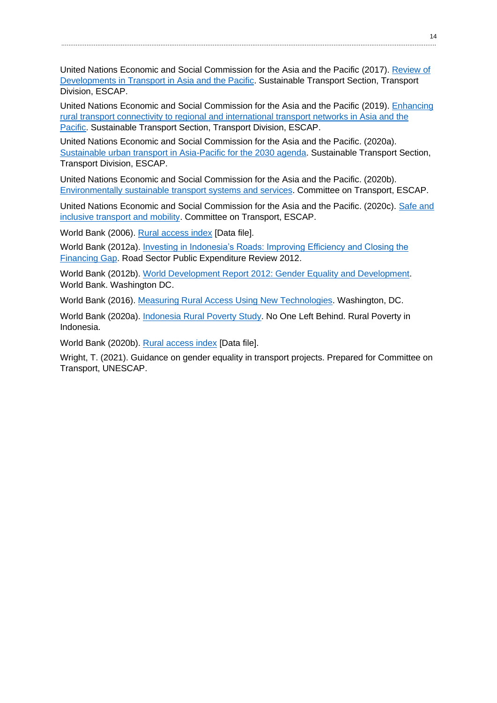United Nations Economic and Social Commission for the Asia and the Pacific (2017). [Review](https://www.unescap.org/sites/default/d8files/knowledge-products/Review2017_Hires_21Dec2017.pdf) of [Developments in Transport in Asia and the Pacific.](https://www.unescap.org/sites/default/d8files/knowledge-products/Review2017_Hires_21Dec2017.pdf) Sustainable Transport Section, Transport Division, ESCAP.

United Nations Economic and Social Commission for the Asia and the Pacific (2019). [Enhancing](https://www.unescap.org/sites/default/d8files/knowledge-products/Monography%20Series-%20Enhancing%20rural%20transport%20connectivity%20to%20regional%20and%20international%20transport%20networks%20in%20Asia%20and%20the%20Pacific.pdf)  [rural transport connectivity to regional and international transport networks in Asia and the](https://www.unescap.org/sites/default/d8files/knowledge-products/Monography%20Series-%20Enhancing%20rural%20transport%20connectivity%20to%20regional%20and%20international%20transport%20networks%20in%20Asia%20and%20the%20Pacific.pdf)  [Pacific.](https://www.unescap.org/sites/default/d8files/knowledge-products/Monography%20Series-%20Enhancing%20rural%20transport%20connectivity%20to%20regional%20and%20international%20transport%20networks%20in%20Asia%20and%20the%20Pacific.pdf) Sustainable Transport Section, Transport Division, ESCAP.

United Nations Economic and Social Commission for the Asia and the Pacific. (2020a). [Sustainable urban transport in Asia-Pacific for the 2030 agenda.](https://www.unescap.org/sites/default/d8files/event-documents/UNESCAPSsustainable_urban_transport%202020_Recommendations.pdf) Sustainable Transport Section, Transport Division, ESCAP.

United Nations Economic and Social Commission for the Asia and the Pacific. (2020b). Environmentally sustainable [transport systems and services.](https://www.unescap.org/sites/default/files/EN_3_ENVIRONMENTALLY%20SUSTAINABLE%20TRANSPORT%20SYSTEMS%20AND%20SERVICES.pdf) Committee on Transport, ESCAP.

United Nations Economic and Social Commission for the Asia and the Pacific. (2020c). [Safe and](https://www.unescap.org/sites/default/files/EN_4_SAFE%20AND%20INCLUSIVE%20TRANSPORT%20AND%20MOBILITY.pdf)  [inclusive transport and mobility.](https://www.unescap.org/sites/default/files/EN_4_SAFE%20AND%20INCLUSIVE%20TRANSPORT%20AND%20MOBILITY.pdf) Committee on Transport, ESCAP.

World Bank (2006). [Rural access index](https://datacatalog.worldbank.org/dataset/rural-access-index-rai) [Data file].

World Bank (2012a). [Investing in Indonesia's Roads: Improving Efficiency and Closing the](https://documents1.worldbank.org/curated/en/366991468269399430/pdf/733030WP0Indon00disclosed0100180120.pdf)  [Financing Gap.](https://documents1.worldbank.org/curated/en/366991468269399430/pdf/733030WP0Indon00disclosed0100180120.pdf) Road Sector Public Expenditure Review 2012.

World Bank (2012b). [World Development Report 2012: Gender Equality and Development.](https://openknowledge.worldbank.org/handle/10986/4391) World Bank. Washington DC.

World Bank (2016). [Measuring Rural Access Using New Technologies.](https://openknowledge.worldbank.org/bitstream/handle/10986/25187/Measuring0rura0ing0new0technologies.pdf?sequence=1&isAllowed=y) Washington, DC.

World Bank (2020a). [Indonesia Rural Poverty Study.](https://openknowledge.worldbank.org/bitstream/handle/10986/34163/No-One-Left-Behind-Rural-Poverty-in-Indonesia.pdf?sequence=4&isAllowed=y) No One Left Behind. Rural Poverty in Indonesia.

World Bank (2020b). [Rural access index](https://datacatalog.worldbank.org/dataset/rural-access-index-rai) [Data file].

Wright, T. (2021). Guidance on gender equality in transport projects. Prepared for Committee on Transport, UNESCAP.